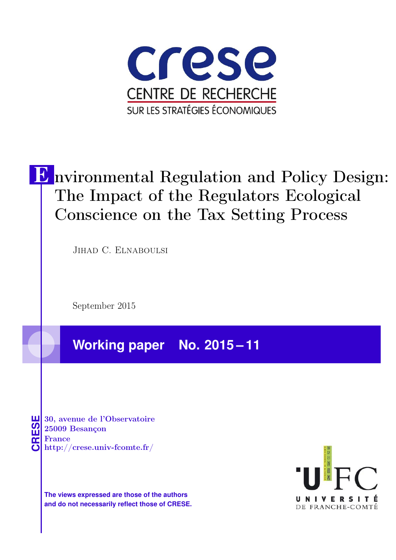

# E nvironmental Regulation and Policy Design: The Impact of the Regulators Ecological Conscience on the Tax Setting Process

Jihad C. Elnaboulsi

September 2015

**Working paper No. 2015 – 11**

**CRESE 30, avenue de l'Observatoire<br>
25009 Besançon<br>
France<br>
<b>CRESE de l'Observatoire**<br>
Http://crese.univ-fcomte.fr/ 25009 Besançon France

**The views expressed are those of the authors and do not necessarily reflect those of CRESE.**

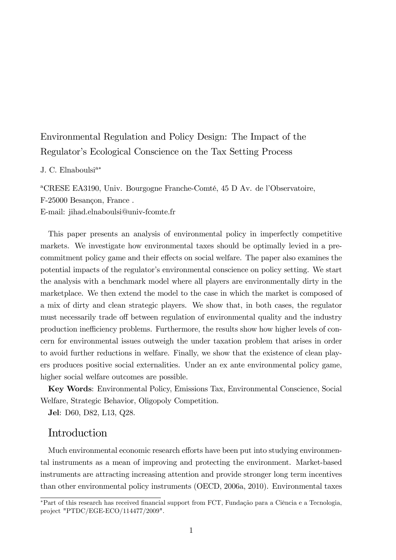# Environmental Regulation and Policy Design: The Impact of the Regulator's Ecological Conscience on the Tax Setting Process

#### J. C. Elnaboulsi $a^*$

<sup>a</sup>CRESE EA3190, Univ. Bourgogne Franche-Comté, 45 D Av. de l'Observatoire, F-25000 Besançon, France. E-mail: jihad.elnaboulsi@univ-fcomte.fr

This paper presents an analysis of environmental policy in imperfectly competitive markets. We investigate how environmental taxes should be optimally levied in a precommitment policy game and their effects on social welfare. The paper also examines the potential impacts of the regulator's environmental conscience on policy setting. We start the analysis with a benchmark model where all players are environmentally dirty in the marketplace. We then extend the model to the case in which the market is composed of a mix of dirty and clean strategic players. We show that, in both cases, the regulator must necessarily trade off between regulation of environmental quality and the industry production inefficiency problems. Furthermore, the results show how higher levels of concern for environmental issues outweigh the under taxation problem that arises in order to avoid further reductions in welfare. Finally, we show that the existence of clean players produces positive social externalities. Under an ex ante environmental policy game, higher social welfare outcomes are possible.

Key Words: Environmental Policy, Emissions Tax, Environmental Conscience, Social Welfare, Strategic Behavior, Oligopoly Competition.

Jel: D60, D82, L13, Q28.

## Introduction

Much environmental economic research efforts have been put into studying environmental instruments as a mean of improving and protecting the environment. Market-based instruments are attracting increasing attention and provide stronger long term incentives than other environmental policy instruments (OECD, 2006a, 2010). Environmental taxes

<sup>\*</sup>Part of this research has received financial support from FCT, Fundação para a Ciência e a Tecnologia, project "PTDC/EGE-ECO/114477/2009".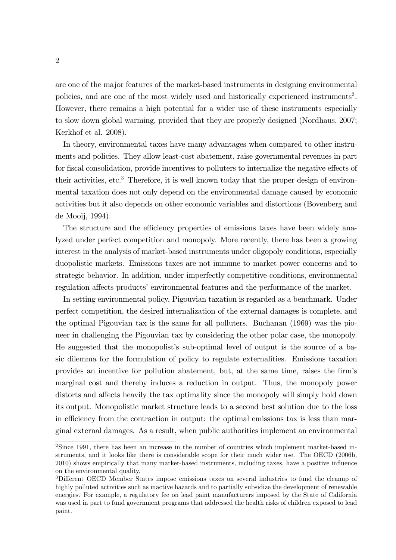are one of the major features of the market-based instruments in designing environmental policies, and are one of the most widely used and historically experienced instruments<sup>2</sup>. However, there remains a high potential for a wider use of these instruments especially to slow down global warming, provided that they are properly designed (Nordhaus, 2007; Kerkhof et al. 2008).

In theory, environmental taxes have many advantages when compared to other instruments and policies. They allow least-cost abatement, raise governmental revenues in part for fiscal consolidation, provide incentives to polluters to internalize the negative effects of their activities, etc.<sup>3</sup> Therefore, it is well known today that the proper design of environmental taxation does not only depend on the environmental damage caused by economic activities but it also depends on other economic variables and distortions (Bovenberg and de Mooij, 1994).

The structure and the efficiency properties of emissions taxes have been widely analyzed under perfect competition and monopoly. More recently, there has been a growing interest in the analysis of market-based instruments under oligopoly conditions, especially duopolistic markets. Emissions taxes are not immune to market power concerns and to strategic behavior. In addition, under imperfectly competitive conditions, environmental regulation affects products' environmental features and the performance of the market.

In setting environmental policy, Pigouvian taxation is regarded as a benchmark. Under perfect competition, the desired internalization of the external damages is complete, and the optimal Pigouvian tax is the same for all polluters. Buchanan (1969) was the pioneer in challenging the Pigouvian tax by considering the other polar case, the monopoly. He suggested that the monopolist's sub-optimal level of output is the source of a basic dilemma for the formulation of policy to regulate externalities. Emissions taxation provides an incentive for pollution abatement, but, at the same time, raises the firm's marginal cost and thereby induces a reduction in output. Thus, the monopoly power distorts and affects heavily the tax optimality since the monopoly will simply hold down its output. Monopolistic market structure leads to a second best solution due to the loss in efficiency from the contraction in output: the optimal emissions tax is less than marginal external damages. As a result, when public authorities implement an environmental

<sup>&</sup>lt;sup>2</sup>Since 1991, there has been an increase in the number of countries which implement market-based instruments, and it looks like there is considerable scope for their much wider use. The OECD (2006b, 2010) shows empirically that many market-based instruments, including taxes, have a positive influence on the environmental quality.

<sup>&</sup>lt;sup>3</sup>Different OECD Member States impose emissions taxes on several industries to fund the cleanup of highly polluted activities such as inactive hazards and to partially subsidize the development of renewable energies. For example, a regulatory fee on lead paint manufacturers imposed by the State of California was used in part to fund government programs that addressed the health risks of children exposed to lead paint.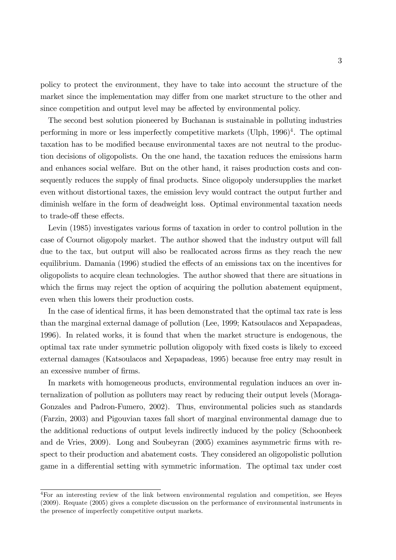policy to protect the environment, they have to take into account the structure of the market since the implementation may differ from one market structure to the other and since competition and output level may be affected by environmental policy.

The second best solution pioneered by Buchanan is sustainable in polluting industries performing in more or less imperfectly competitive markets (Ulph, 1996)<sup>4</sup>. The optimal taxation has to be modified because environmental taxes are not neutral to the production decisions of oligopolists. On the one hand, the taxation reduces the emissions harm and enhances social welfare. But on the other hand, it raises production costs and consequently reduces the supply of final products. Since oligopoly undersupplies the market even without distortional taxes, the emission levy would contract the output further and diminish welfare in the form of deadweight loss. Optimal environmental taxation needs to trade-off these effects.

Levin (1985) investigates various forms of taxation in order to control pollution in the case of Cournot oligopoly market. The author showed that the industry output will fall due to the tax, but output will also be reallocated across firms as they reach the new equilibrium. Damania (1996) studied the effects of an emissions tax on the incentives for oligopolists to acquire clean technologies. The author showed that there are situations in which the firms may reject the option of acquiring the pollution abatement equipment, even when this lowers their production costs.

In the case of identical firms, it has been demonstrated that the optimal tax rate is less than the marginal external damage of pollution (Lee, 1999; Katsoulacos and Xepapadeas, 1996). In related works, it is found that when the market structure is endogenous, the optimal tax rate under symmetric pollution oligopoly with Öxed costs is likely to exceed external damages (Katsoulacos and Xepapadeas, 1995) because free entry may result in an excessive number of firms.

In markets with homogeneous products, environmental regulation induces an over internalization of pollution as polluters may react by reducing their output levels (Moraga-Gonzales and Padron-Fumero, 2002). Thus, environmental policies such as standards (Farzin, 2003) and Pigouvian taxes fall short of marginal environmental damage due to the additional reductions of output levels indirectly induced by the policy (Schoonbeek and de Vries, 2009). Long and Soubeyran (2005) examines asymmetric firms with respect to their production and abatement costs. They considered an oligopolistic pollution game in a differential setting with symmetric information. The optimal tax under cost

<sup>4</sup>For an interesting review of the link between environmental regulation and competition, see Heyes (2009). Requate (2005) gives a complete discussion on the performance of environmental instruments in the presence of imperfectly competitive output markets.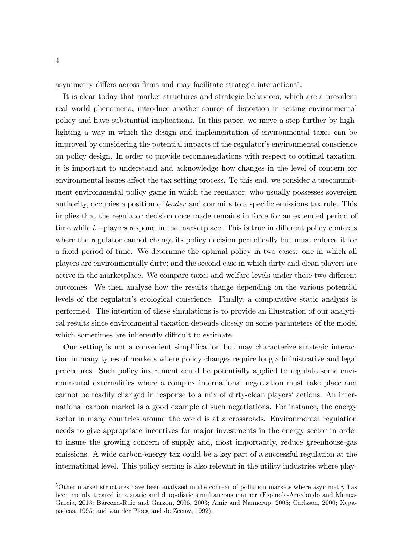asymmetry differs across firms and may facilitate strategic interactions<sup>5</sup>.

It is clear today that market structures and strategic behaviors, which are a prevalent real world phenomena, introduce another source of distortion in setting environmental policy and have substantial implications. In this paper, we move a step further by highlighting a way in which the design and implementation of environmental taxes can be improved by considering the potential impacts of the regulator's environmental conscience on policy design. In order to provide recommendations with respect to optimal taxation, it is important to understand and acknowledge how changes in the level of concern for environmental issues affect the tax setting process. To this end, we consider a precommitment environmental policy game in which the regulator, who usually possesses sovereign authority, occupies a position of *leader* and commits to a specific emissions tax rule. This implies that the regulator decision once made remains in force for an extended period of time while  $h$ -players respond in the marketplace. This is true in different policy contexts where the regulator cannot change its policy decision periodically but must enforce it for a fixed period of time. We determine the optimal policy in two cases: one in which all players are environmentally dirty; and the second case in which dirty and clean players are active in the marketplace. We compare taxes and welfare levels under these two different outcomes. We then analyze how the results change depending on the various potential levels of the regulator's ecological conscience. Finally, a comparative static analysis is performed. The intention of these simulations is to provide an illustration of our analytical results since environmental taxation depends closely on some parameters of the model which sometimes are inherently difficult to estimate.

Our setting is not a convenient simpliÖcation but may characterize strategic interaction in many types of markets where policy changes require long administrative and legal procedures. Such policy instrument could be potentially applied to regulate some environmental externalities where a complex international negotiation must take place and cannot be readily changed in response to a mix of dirty-clean players' actions. An international carbon market is a good example of such negotiations. For instance, the energy sector in many countries around the world is at a crossroads. Environmental regulation needs to give appropriate incentives for major investments in the energy sector in order to insure the growing concern of supply and, most importantly, reduce greenhouse-gas emissions. A wide carbon-energy tax could be a key part of a successful regulation at the international level. This policy setting is also relevant in the utility industries where play-

<sup>5</sup>Other market structures have been analyzed in the context of pollution markets where asymmetry has been mainly treated in a static and duopolistic simultaneous manner (Espinola-Arredondo and Munez-Garcia, 2013; Bárcena-Ruiz and Garzón, 2006, 2003; Amir and Nannerup, 2005; Carlsson, 2000; Xepapadeas, 1995; and van der Ploeg and de Zeeuw, 1992).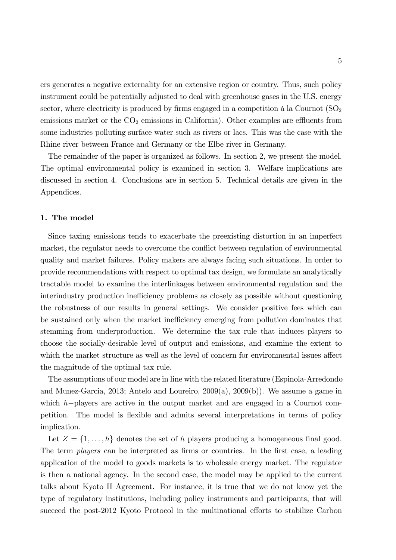ers generates a negative externality for an extensive region or country. Thus, such policy instrument could be potentially adjusted to deal with greenhouse gases in the U.S. energy sector, where electricity is produced by firms engaged in a competition à la Cournot  $(SO<sub>2</sub>)$ emissions market or the  $CO<sub>2</sub>$  emissions in California). Other examples are effluents from some industries polluting surface water such as rivers or lacs. This was the case with the Rhine river between France and Germany or the Elbe river in Germany.

The remainder of the paper is organized as follows. In section 2, we present the model. The optimal environmental policy is examined in section 3. Welfare implications are discussed in section 4. Conclusions are in section 5. Technical details are given in the Appendices.

#### 1. The model

Since taxing emissions tends to exacerbate the preexisting distortion in an imperfect market, the regulator needs to overcome the conflict between regulation of environmental quality and market failures. Policy makers are always facing such situations. In order to provide recommendations with respect to optimal tax design, we formulate an analytically tractable model to examine the interlinkages between environmental regulation and the interindustry production inefficiency problems as closely as possible without questioning the robustness of our results in general settings. We consider positive fees which can be sustained only when the market inefficiency emerging from pollution dominates that stemming from underproduction. We determine the tax rule that induces players to choose the socially-desirable level of output and emissions, and examine the extent to which the market structure as well as the level of concern for environmental issues affect the magnitude of the optimal tax rule.

The assumptions of our model are in line with the related literature (Espinola-Arredondo and Munez-Garcia, 2013; Antelo and Loureiro,  $2009(a)$ ,  $2009(b)$ ). We assume a game in which  $h$ -players are active in the output market and are engaged in a Cournot competition. The model is flexible and admits several interpretations in terms of policy implication.

Let  $Z = \{1, \ldots, h\}$  denotes the set of h players producing a homogeneous final good. The term *players* can be interpreted as firms or countries. In the first case, a leading application of the model to goods markets is to wholesale energy market. The regulator is then a national agency. In the second case, the model may be applied to the current talks about Kyoto II Agreement. For instance, it is true that we do not know yet the type of regulatory institutions, including policy instruments and participants, that will succeed the post-2012 Kyoto Protocol in the multinational efforts to stabilize Carbon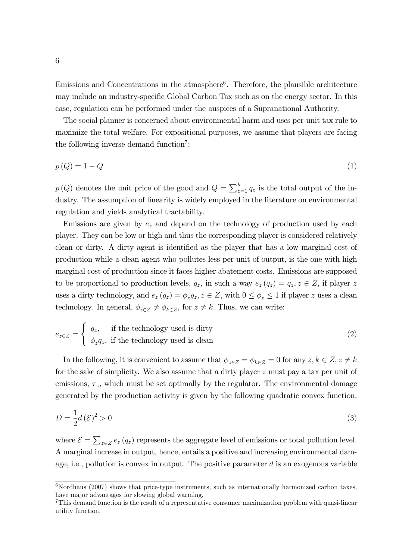Emissions and Concentrations in the atmosphere<sup>6</sup>. Therefore, the plausible architecture may include an industry-specific Global Carbon Tax such as on the energy sector. In this case, regulation can be performed under the auspices of a Supranational Authority.

The social planner is concerned about environmental harm and uses per-unit tax rule to maximize the total welfare. For expositional purposes, we assume that players are facing the following inverse demand function<sup>7</sup>:

$$
p\left(Q\right) = 1 - Q\tag{1}
$$

 $p(Q)$  denotes the unit price of the good and  $Q = \sum_{z=1}^{h} q_z$  is the total output of the industry. The assumption of linearity is widely employed in the literature on environmental regulation and yields analytical tractability.

Emissions are given by  $e_z$  and depend on the technology of production used by each player. They can be low or high and thus the corresponding player is considered relatively clean or dirty. A dirty agent is identified as the player that has a low marginal cost of production while a clean agent who pollutes less per unit of output, is the one with high marginal cost of production since it faces higher abatement costs. Emissions are supposed to be proportional to production levels,  $q_z$ , in such a way  $e_z(q_z) = q_z, z \in Z$ , if player z uses a dirty technology, and  $e_z(q_z) = \phi_z q_z, z \in Z$ , with  $0 \le \phi_z \le 1$  if player z uses a clean technology. In general,  $\phi_{z\in Z} \neq \phi_{k\in Z}$ , for  $z \neq k$ . Thus, we can write:

$$
e_{z\in Z} = \begin{cases} q_z, & \text{if the technology used is dirty} \\ \phi_z q_z, & \text{if the technology used is clean} \end{cases}
$$
 (2)

In the following, it is convenient to assume that  $\phi_{z\in Z} = \phi_{k\in Z} = 0$  for any  $z, k \in Z, z \neq k$ for the sake of simplicity. We also assume that a dirty player z must pay a tax per unit of emissions,  $\tau_z$ , which must be set optimally by the regulator. The environmental damage generated by the production activity is given by the following quadratic convex function:

$$
D = \frac{1}{2}d(\mathcal{E})^2 > 0
$$
\n<sup>(3)</sup>

where  $\mathcal{E} = \sum_{z \in Z} e_z(q_z)$  represents the aggregate level of emissions or total pollution level. A marginal increase in output, hence, entails a positive and increasing environmental damage, i.e., pollution is convex in output. The positive parameter  $d$  is an exogenous variable

 $6$ Nordhaus (2007) shows that price-type instruments, such as internationally harmonized carbon taxes, have major advantages for slowing global warming.

<sup>&</sup>lt;sup>7</sup>This demand function is the result of a representative consumer maximization problem with quasi-linear utility function.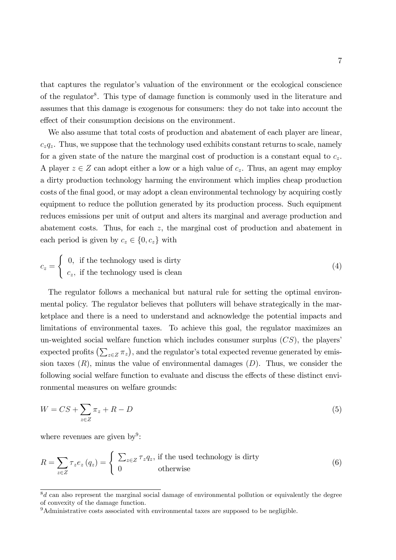that captures the regulator's valuation of the environment or the ecological conscience of the regulator<sup>8</sup>. This type of damage function is commonly used in the literature and assumes that this damage is exogenous for consumers: they do not take into account the effect of their consumption decisions on the environment.

We also assume that total costs of production and abatement of each player are linear,  $c_zq_z$ . Thus, we suppose that the technology used exhibits constant returns to scale, namely for a given state of the nature the marginal cost of production is a constant equal to  $c_z$ . A player  $z \in Z$  can adopt either a low or a high value of  $c_z$ . Thus, an agent may employ a dirty production technology harming the environment which implies cheap production costs of the final good, or may adopt a clean environmental technology by acquiring costly equipment to reduce the pollution generated by its production process. Such equipment reduces emissions per unit of output and alters its marginal and average production and abatement costs. Thus, for each z, the marginal cost of production and abatement in each period is given by  $c_z \in \{0, c_z\}$  with

$$
c_z = \begin{cases} 0, & \text{if the technology used is dirty} \\ c_z, & \text{if the technology used is clean} \end{cases}
$$
 (4)

The regulator follows a mechanical but natural rule for setting the optimal environmental policy. The regulator believes that polluters will behave strategically in the marketplace and there is a need to understand and acknowledge the potential impacts and limitations of environmental taxes. To achieve this goal, the regulator maximizes an un-weighted social welfare function which includes consumer surplus  $(CS)$ , the players' expected profits  $(\sum_{z \in Z} \pi_z)$ , and the regulator's total expected revenue generated by emission taxes  $(R)$ , minus the value of environmental damages  $(D)$ . Thus, we consider the following social welfare function to evaluate and discuss the effects of these distinct environmental measures on welfare grounds:

$$
W = CS + \sum_{z \in Z} \pi_z + R - D \tag{5}
$$

where revenues are given by<sup>9</sup>:

$$
R = \sum_{z \in Z} \tau_z e_z (q_z) = \begin{cases} \sum_{z \in Z} \tau_z q_z, & \text{if the used technology is dirty} \\ 0 & \text{otherwise} \end{cases}
$$
 (6)

 $\overline{\delta_d}$  can also represent the marginal social damage of environmental pollution or equivalently the degree of convexity of the damage function.

<sup>9</sup>Administrative costs associated with environmental taxes are supposed to be negligible.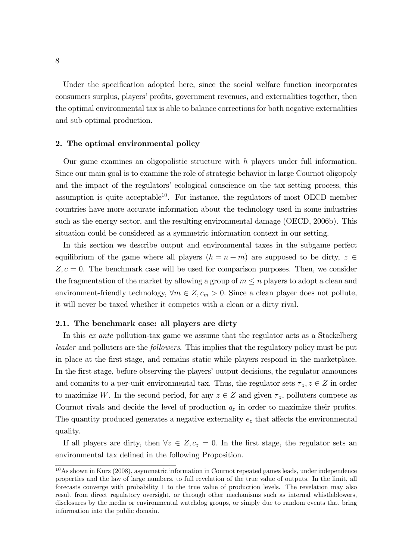Under the specification adopted here, since the social welfare function incorporates consumers surplus, players' profits, government revenues, and externalities together, then the optimal environmental tax is able to balance corrections for both negative externalities and sub-optimal production.

#### 2. The optimal environmental policy

Our game examines an oligopolistic structure with h players under full information. Since our main goal is to examine the role of strategic behavior in large Cournot oligopoly and the impact of the regulators' ecological conscience on the tax setting process, this assumption is quite acceptable<sup>10</sup>. For instance, the regulators of most OECD member countries have more accurate information about the technology used in some industries such as the energy sector, and the resulting environmental damage (OECD, 2006b). This situation could be considered as a symmetric information context in our setting.

In this section we describe output and environmental taxes in the subgame perfect equilibrium of the game where all players  $(h = n + m)$  are supposed to be dirty,  $z \in$  $Z, c = 0$ . The benchmark case will be used for comparison purposes. Then, we consider the fragmentation of the market by allowing a group of  $m \leq n$  players to adopt a clean and environment-friendly technology,  $\forall m \in \mathbb{Z}, c_m > 0$ . Since a clean player does not pollute, it will never be taxed whether it competes with a clean or a dirty rival.

#### 2.1. The benchmark case: all players are dirty

In this ex ante pollution-tax game we assume that the regulator acts as a Stackelberg leader and polluters are the followers. This implies that the regulatory policy must be put in place at the Örst stage, and remains static while players respond in the marketplace. In the first stage, before observing the players' output decisions, the regulator announces and commits to a per-unit environmental tax. Thus, the regulator sets  $\tau_z, z \in Z$  in order to maximize W. In the second period, for any  $z \in Z$  and given  $\tau_z$ , polluters compete as Cournot rivals and decide the level of production  $q_z$  in order to maximize their profits. The quantity produced generates a negative externality  $e<sub>z</sub>$  that affects the environmental quality.

If all players are dirty, then  $\forall z \in Z, c_z = 0$ . In the first stage, the regulator sets an environmental tax defined in the following Proposition.

<sup>10</sup>As shown in Kurz (2008), asymmetric information in Cournot repeated games leads, under independence properties and the law of large numbers, to full revelation of the true value of outputs. In the limit, all forecasts converge with probability 1 to the true value of production levels. The revelation may also result from direct regulatory oversight, or through other mechanisms such as internal whistleblowers, disclosures by the media or environmental watchdog groups, or simply due to random events that bring information into the public domain.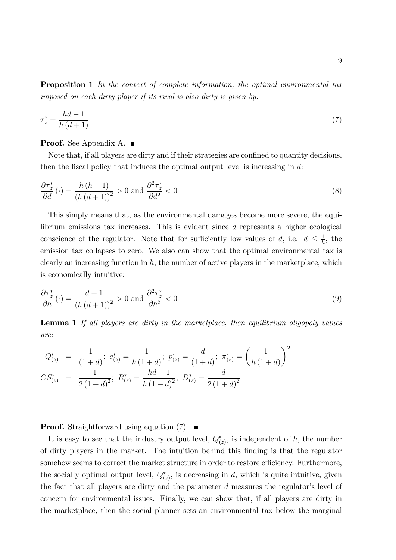Proposition 1 In the context of complete information, the optimal environmental tax imposed on each dirty player if its rival is also dirty is given by:

$$
\tau_z^* = \frac{hd - 1}{h\left(d + 1\right)}\tag{7}
$$

#### **Proof.** See Appendix A. ■

Note that, if all players are dirty and if their strategies are confined to quantity decisions, then the fiscal policy that induces the optimal output level is increasing in  $d$ :

$$
\frac{\partial \tau_z^*}{\partial d}(\cdot) = \frac{h\left(h+1\right)}{\left(h\left(d+1\right)\right)^2} > 0 \text{ and } \frac{\partial^2 \tau_z^*}{\partial d^2} < 0 \tag{8}
$$

This simply means that, as the environmental damages become more severe, the equilibrium emissions tax increases. This is evident since d represents a higher ecological conscience of the regulator. Note that for sufficiently low values of d, i.e.  $d \leq \frac{1}{h}$  $\frac{1}{h}$ , the emission tax collapses to zero. We also can show that the optimal environmental tax is clearly an increasing function in  $h$ , the number of active players in the marketplace, which is economically intuitive:

$$
\frac{\partial \tau_z^*}{\partial h}(\cdot) = \frac{d+1}{\left(h\left(d+1\right)\right)^2} > 0 \text{ and } \frac{\partial^2 \tau_z^*}{\partial h^2} < 0 \tag{9}
$$

**Lemma 1** If all players are dirty in the marketplace, then equilibrium oligopoly values are:

$$
Q_{(z)}^* = \frac{1}{(1+d)}; e_{(z)}^* = \frac{1}{h(1+d)}; p_{(z)}^* = \frac{d}{(1+d)}; \pi_{(z)}^* = \left(\frac{1}{h(1+d)}\right)^2
$$
  

$$
CS_{(z)}^* = \frac{1}{2(1+d)^2}; R_{(z)}^* = \frac{hd-1}{h(1+d)^2}; D_{(z)}^* = \frac{d}{2(1+d)^2}
$$

**Proof.** Straightforward using equation (7).  $\blacksquare$ 

It is easy to see that the industry output level,  $Q_{(z)}^*$ , is independent of h, the number of dirty players in the market. The intuition behind this Önding is that the regulator somehow seems to correct the market structure in order to restore efficiency. Furthermore, the socially optimal output level,  $Q_{(z)}^*$ , is decreasing in d, which is quite intuitive, given the fact that all players are dirty and the parameter  $d$  measures the regulator's level of concern for environmental issues. Finally, we can show that, if all players are dirty in the marketplace, then the social planner sets an environmental tax below the marginal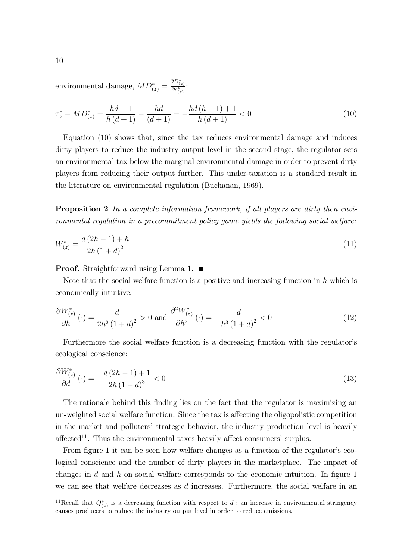environmental damage,  $MD^*_{(z)} = \frac{\partial D^*_{(z)}}{\partial e^*_{(z)}}$ :

$$
\tau_z^* - MD_{(z)}^* = \frac{hd - 1}{h\left(d + 1\right)} - \frac{hd}{\left(d + 1\right)} = -\frac{hd\left(h - 1\right) + 1}{h\left(d + 1\right)} < 0\tag{10}
$$

Equation (10) shows that, since the tax reduces environmental damage and induces dirty players to reduce the industry output level in the second stage, the regulator sets an environmental tax below the marginal environmental damage in order to prevent dirty players from reducing their output further. This under-taxation is a standard result in the literature on environmental regulation (Buchanan, 1969).

**Proposition 2** In a complete information framework, if all players are dirty then environmental regulation in a precommitment policy game yields the following social welfare:

$$
W_{(z)}^* = \frac{d(2h-1) + h}{2h(1+d)^2} \tag{11}
$$

**Proof.** Straightforward using Lemma 1. ■

Note that the social welfare function is a positive and increasing function in  $h$  which is economically intuitive:

$$
\frac{\partial W_{(z)}^*}{\partial h}(\cdot) = \frac{d}{2h^2 \left(1+d\right)^2} > 0 \text{ and } \frac{\partial^2 W_{(z)}^*}{\partial h^2}(\cdot) = -\frac{d}{h^3 \left(1+d\right)^2} < 0 \tag{12}
$$

Furthermore the social welfare function is a decreasing function with the regulator's ecological conscience:

$$
\frac{\partial W_{(z)}^*}{\partial d}(\cdot) = -\frac{d(2h-1)+1}{2h(1+d)^3} < 0\tag{13}
$$

The rationale behind this finding lies on the fact that the regulator is maximizing an un-weighted social welfare function. Since the tax is affecting the oligopolistic competition in the market and polluters' strategic behavior, the industry production level is heavily affected<sup>11</sup>. Thus the environmental taxes heavily affect consumers' surplus.

From figure 1 it can be seen how welfare changes as a function of the regulator's ecological conscience and the number of dirty players in the marketplace. The impact of changes in d and h on social welfare corresponds to the economic intuition. In figure 1 we can see that welfare decreases as  $d$  increases. Furthermore, the social welfare in an

<sup>&</sup>lt;sup>11</sup>Recall that  $Q_{(z)}^*$  is a decreasing function with respect to d : an increase in environmental stringency causes producers to reduce the industry output level in order to reduce emissions.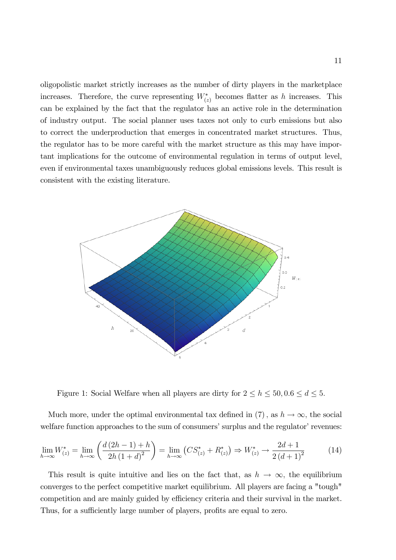oligopolistic market strictly increases as the number of dirty players in the marketplace increases. Therefore, the curve representing  $W^*_{(z)}$  becomes flatter as h increases. This can be explained by the fact that the regulator has an active role in the determination of industry output. The social planner uses taxes not only to curb emissions but also to correct the underproduction that emerges in concentrated market structures. Thus, the regulator has to be more careful with the market structure as this may have important implications for the outcome of environmental regulation in terms of output level, even if environmental taxes unambiguously reduces global emissions levels. This result is consistent with the existing literature.



Figure 1: Social Welfare when all players are dirty for  $2 \le h \le 50, 0.6 \le d \le 5$ .

Much more, under the optimal environmental tax defined in (7), as  $h \to \infty$ , the social welfare function approaches to the sum of consumers' surplus and the regulator' revenues:

$$
\lim_{h \to \infty} W_{(z)}^* = \lim_{h \to \infty} \left( \frac{d (2h - 1) + h}{2h (1 + d)^2} \right) = \lim_{h \to \infty} \left( CS_{(z)}^* + R_{(z)}^* \right) \Rightarrow W_{(z)}^* \to \frac{2d + 1}{2 (d + 1)^2}
$$
(14)

This result is quite intuitive and lies on the fact that, as  $h \to \infty$ , the equilibrium converges to the perfect competitive market equilibrium. All players are facing a "tough" competition and are mainly guided by efficiency criteria and their survival in the market. Thus, for a sufficiently large number of players, profits are equal to zero.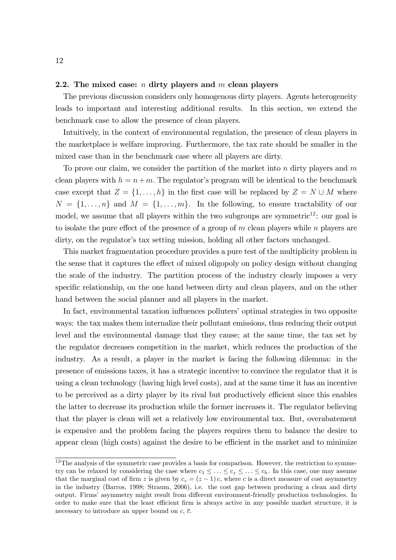#### 2.2. The mixed case:  $n$  dirty players and  $m$  clean players

The previous discussion considers only homogenous dirty players. Agents heterogeneity leads to important and interesting additional results. In this section, we extend the benchmark case to allow the presence of clean players.

Intuitively, in the context of environmental regulation, the presence of clean players in the marketplace is welfare improving. Furthermore, the tax rate should be smaller in the mixed case than in the benchmark case where all players are dirty.

To prove our claim, we consider the partition of the market into  $n$  dirty players and  $m$ clean players with  $h = n+m$ . The regulator's program will be identical to the benchmark case except that  $Z = \{1, \ldots, h\}$  in the first case will be replaced by  $Z = N \cup M$  where  $N = \{1, \ldots, n\}$  and  $M = \{1, \ldots, m\}$ . In the following, to ensure tractability of our model, we assume that all players within the two subgroups are symmetric<sup>12</sup>: our goal is to isolate the pure effect of the presence of a group of m clean players while n players are dirty, on the regulator's tax setting mission, holding all other factors unchanged.

This market fragmentation procedure provides a pure test of the multiplicity problem in the sense that it captures the effect of mixed oligopoly on policy design without changing the scale of the industry. The partition process of the industry clearly imposes a very specific relationship, on the one hand between dirty and clean players, and on the other hand between the social planner and all players in the market.

In fact, environmental taxation influences polluters' optimal strategies in two opposite ways: the tax makes them internalize their pollutant emissions, thus reducing their output level and the environmental damage that they cause; at the same time, the tax set by the regulator decreases competition in the market, which reduces the production of the industry. As a result, a player in the market is facing the following dilemma: in the presence of emissions taxes, it has a strategic incentive to convince the regulator that it is using a clean technology (having high level costs), and at the same time it has an incentive to be perceived as a dirty player by its rival but productively efficient since this enables the latter to decrease its production while the former increases it. The regulator believing that the player is clean will set a relatively low environmental tax. But, overabatement is expensive and the problem facing the players requires them to balance the desire to appear clean (high costs) against the desire to be efficient in the market and to minimize

 $12$ The analysis of the symmetric case provides a basis for comparison. However, the restriction to symmetry can be relaxed by considering the case where  $c_1 \leq \ldots \leq c_z \leq \ldots \leq c_h$ . In this case, one may assume that the marginal cost of firm z is given by  $c_z = (z - 1) c$ , where c is a direct measure of cost asymmetry in the industry (Barros, 1998; Straum, 2006), i.e. the cost gap between producing a clean and dirty output. Firms' asymmetry might result from different environment-friendly production technologies. In order to make sure that the least efficient firm is always active in any possible market structure, it is necessary to introduce an upper bound on  $c, \bar{c}$ .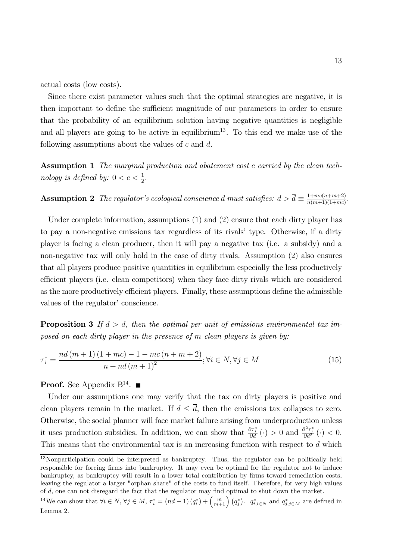actual costs (low costs).

Since there exist parameter values such that the optimal strategies are negative, it is then important to define the sufficient magnitude of our parameters in order to ensure that the probability of an equilibrium solution having negative quantities is negligible and all players are going to be active in equilibrium<sup>13</sup>. To this end we make use of the following assumptions about the values of  $c$  and  $d$ .

Assumption 1 The marginal production and abatement cost c carried by the clean technology is defined by:  $0 < c < \frac{1}{2}$ .

**Assumption 2** The regulator's ecological conscience d must satisfies:  $d > \overline{d} \equiv \frac{1 + mc(n+m+2)}{n(m+1)(1+mc)}$  $\frac{1+mc(n+m+2)}{n(m+1)(1+mc)}$ .

Under complete information, assumptions (1) and (2) ensure that each dirty player has to pay a non-negative emissions tax regardless of its rivals' type. Otherwise, if a dirty player is facing a clean producer, then it will pay a negative tax (i.e. a subsidy) and a non-negative tax will only hold in the case of dirty rivals. Assumption (2) also ensures that all players produce positive quantities in equilibrium especially the less productively efficient players (i.e. clean competitors) when they face dirty rivals which are considered as the more productively efficient players. Finally, these assumptions define the admissible values of the regulator' conscience.

**Proposition 3** If  $d > \overline{d}$ , then the optimal per unit of emissions environmental tax imposed on each dirty player in the presence of m clean players is given by:

$$
\tau_i^* = \frac{nd(m+1)(1+mc) - 1 - mc(n+m+2)}{n + nd(m+1)^2}; \forall i \in N, \forall j \in M
$$
\n(15)

**Proof.** See Appendix  $B^{14}$ .

Under our assumptions one may verify that the tax on dirty players is positive and clean players remain in the market. If  $d \leq \overline{d}$ , then the emissions tax collapses to zero. Otherwise, the social planner will face market failure arising from underproduction unless it uses production subsidies. In addition, we can show that  $\frac{\partial \tau_i^*}{\partial d}(\cdot) > 0$  and  $\frac{\partial^2 \tau_i^*}{\partial d^2}(\cdot) < 0$ . This means that the environmental tax is an increasing function with respect to d which

<sup>&</sup>lt;sup>13</sup>Nonparticipation could be interpreted as bankruptcy. Thus, the regulator can be politically held responsible for forcing firms into bankruptcy. It may even be optimal for the regulator not to induce bankruptcy, as bankruptcy will result in a lower total contribution by firms toward remediation costs, leaving the regulator a larger "orphan share" of the costs to fund itself. Therefore, for very high values of  $d$ , one can not disregard the fact that the regulator may find optimal to shut down the market.

<sup>&</sup>lt;sup>14</sup>We can show that  $\forall i \in N$ ,  $\forall j \in M$ ,  $\tau_i^* = (nd - 1)(q_i^*) + \left(\frac{m}{m+1}\right)(q_j^*)$ .  $q_{i,i \in N}^*$  and  $q_{j,i \in M}^*$  are defined in Lemma 2.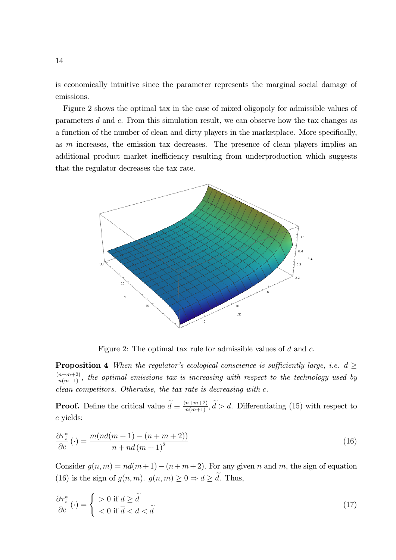is economically intuitive since the parameter represents the marginal social damage of emissions.

Figure 2 shows the optimal tax in the case of mixed oligopoly for admissible values of parameters d and c. From this simulation result, we can observe how the tax changes as a function of the number of clean and dirty players in the marketplace. More specifically, as m increases, the emission tax decreases. The presence of clean players implies an additional product market inefficiency resulting from underproduction which suggests that the regulator decreases the tax rate.



Figure 2: The optimal tax rule for admissible values of d and c.

**Proposition 4** When the regulator's ecological conscience is sufficiently large, i.e.  $d \geq$  $\frac{(n+m+2)}{n(m+1)}$ , the optimal emissions tax is increasing with respect to the technology used by clean competitors. Otherwise, the tax rate is decreasing with c.

**Proof.** Define the critical value  $\tilde{d} \equiv \frac{(n+m+2)}{n(m+1)}, \tilde{d} > \bar{d}$ . Differentiating (15) with respect to c yields:

$$
\frac{\partial \tau_i^*}{\partial c}(\cdot) = \frac{m(nd(m+1) - (n+m+2))}{n + nd(m+1)^2}
$$
\n(16)

Consider  $g(n, m) = nd(m + 1) - (n + m + 2)$ . For any given n and m, the sign of equation (16) is the sign of  $g(n, m)$ .  $g(n, m) \geq 0 \Rightarrow d \geq \tilde{d}$ . Thus,

$$
\frac{\partial \tau_i^*}{\partial c}(\cdot) = \begin{cases} > 0 \text{ if } d \ge \tilde{d} \\ < 0 \text{ if } \overline{d} < d < \tilde{d} \end{cases}
$$
(17)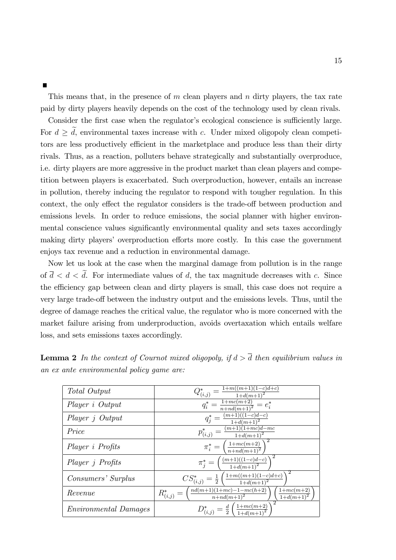This means that, in the presence of  $m$  clean players and  $n$  dirty players, the tax rate paid by dirty players heavily depends on the cost of the technology used by clean rivals.

Consider the first case when the regulator's ecological conscience is sufficiently large. For  $d \geq d$ , environmental taxes increase with c. Under mixed oligopoly clean competitors are less productively efficient in the marketplace and produce less than their dirty rivals. Thus, as a reaction, polluters behave strategically and substantially overproduce, i.e. dirty players are more aggressive in the product market than clean players and competition between players is exacerbated. Such overproduction, however, entails an increase in pollution, thereby inducing the regulator to respond with tougher regulation. In this context, the only effect the regulator considers is the trade-off between production and emissions levels. In order to reduce emissions, the social planner with higher environmental conscience values significantly environmental quality and sets taxes accordingly making dirty players' overproduction efforts more costly. In this case the government enjoys tax revenue and a reduction in environmental damage.

Now let us look at the case when the marginal damage from pollution is in the range of  $\overline{d} < d < \tilde{d}$ . For intermediate values of d, the tax magnitude decreases with c. Since the efficiency gap between clean and dirty players is small, this case does not require a very large trade-off between the industry output and the emissions levels. Thus, until the degree of damage reaches the critical value, the regulator who is more concerned with the market failure arising from underproduction, avoids overtaxation which entails welfare loss, and sets emissions taxes accordingly.

| Total Output                 | $Q^*_{(i,j)} = \frac{1+m((m+1)(1-c)d+c)}{1+d(m+1)^2}$                                                   |
|------------------------------|---------------------------------------------------------------------------------------------------------|
| Player <i>i</i> Output       | $q_i^* = \frac{1 + mc(m+2)}{n + nd(m+1)^2} = e_i^*$                                                     |
| Player j Output              | $q_j^* = \frac{(m+1)((1-c)d-c)}{1+d(m+1)^2}$                                                            |
| Price                        | $p_{(i,j)}^* = \frac{(m+1)(1+mc)d - mc}{1+d(m+1)^2}$                                                    |
| Player i Profits             | $\pi_i^* = \left(\frac{1 + mc(m+2)}{n + nd(m+1)^2}\right)^2$                                            |
| Player <i>j</i> Profits      | $\pi_j^* = \left( \frac{(m+1)((1-c)d-c)}{1+d(m+1)^2} \right)$                                           |
| Consumers' Surplus           | $CS^*_{(i,j)} = \frac{1}{2} \left( \frac{1+m((m+1)(1-c)d+c)}{1+d(m+1)^2} \right)$                       |
| Revenue                      | $R^*_{(i,j)} = \left(\frac{nd(m+1)(1+mc)-1-mc(h+2)}{n+nd(m+1)^2}\right)$<br>$1 + mc(m+2)$<br>$1+d(m+1)$ |
| <i>Environmental Damages</i> | $D^*_{(i,j)} = \frac{d}{2} \left( \frac{1 + mc(m+2)}{1 + d(m+1)^2} \right)$                             |

**Lemma 2** In the context of Cournot mixed oligopoly, if  $d > \overline{d}$  then equilibrium values in an ex ante environmental policy game are: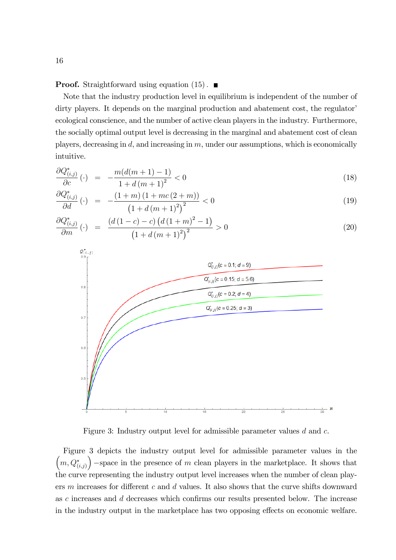**Proof.** Straightforward using equation  $(15)$ .

Note that the industry production level in equilibrium is independent of the number of dirty players. It depends on the marginal production and abatement cost, the regulator ecological conscience, and the number of active clean players in the industry. Furthermore, the socially optimal output level is decreasing in the marginal and abatement cost of clean players, decreasing in  $d$ , and increasing in  $m$ , under our assumptions, which is economically intuitive.

$$
\frac{\partial Q_{(i,j)}^*}{\partial c}(\cdot) = -\frac{m(d(m+1)-1)}{1+d(m+1)^2} < 0\tag{18}
$$

$$
\frac{\partial Q_{(i,j)}^*}{\partial d}(\cdot) = -\frac{(1+m)\left(1+mc\left(2+m\right)\right)}{\left(1+d\left(m+1\right)^2\right)^2} < 0\tag{19}
$$

$$
\frac{\partial Q_{(i,j)}^*}{\partial m}(\cdot) = \frac{\left(d\left(1-c\right)-c\right)\left(d\left(1+m\right)^2-1\right)}{\left(1+d\left(m+1\right)^2\right)^2} > 0\tag{20}
$$



Figure 3: Industry output level for admissible parameter values d and c.

Figure 3 depicts the industry output level for admissible parameter values in the  $\left(m,Q^*_{(i,j)}\right)$ ) -space in the presence of  $m$  clean players in the marketplace. It shows that the curve representing the industry output level increases when the number of clean players m increases for different c and d values. It also shows that the curve shifts downward as  $c$  increases and  $d$  decreases which confirms our results presented below. The increase in the industry output in the marketplace has two opposing effects on economic welfare.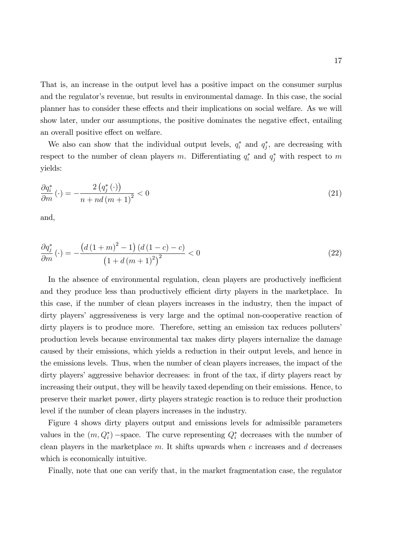That is, an increase in the output level has a positive impact on the consumer surplus and the regulator's revenue, but results in environmental damage. In this case, the social planner has to consider these effects and their implications on social welfare. As we will show later, under our assumptions, the positive dominates the negative effect, entailing an overall positive effect on welfare.

We also can show that the individual output levels,  $q_i^*$  and  $q_j^*$ , are decreasing with respect to the number of clean players m. Differentiating  $q_i^*$  and  $q_j^*$  with respect to m yields:

$$
\frac{\partial q_i^*}{\partial m}(\cdot) = -\frac{2\left(q_j^*(\cdot)\right)}{n + nd\left(m+1\right)^2} < 0\tag{21}
$$

and,

$$
\frac{\partial q_j^*}{\partial m}(\cdot) = -\frac{\left(d\left(1+m\right)^2 - 1\right)\left(d\left(1-c\right) - c\right)}{\left(1+d\left(m+1\right)^2\right)^2} < 0\tag{22}
$$

In the absence of environmental regulation, clean players are productively inefficient and they produce less than productively efficient dirty players in the marketplace. In this case, if the number of clean players increases in the industry, then the impact of dirty players' aggressiveness is very large and the optimal non-cooperative reaction of dirty players is to produce more. Therefore, setting an emission tax reduces polluters' production levels because environmental tax makes dirty players internalize the damage caused by their emissions, which yields a reduction in their output levels, and hence in the emissions levels. Thus, when the number of clean players increases, the impact of the dirty players' aggressive behavior decreases: in front of the tax, if dirty players react by increasing their output, they will be heavily taxed depending on their emissions. Hence, to preserve their market power, dirty players strategic reaction is to reduce their production level if the number of clean players increases in the industry.

Figure 4 shows dirty players output and emissions levels for admissible parameters values in the  $(m, Q_i^*)$  -space. The curve representing  $Q_i^*$  decreases with the number of clean players in the marketplace  $m$ . It shifts upwards when  $c$  increases and  $d$  decreases which is economically intuitive.

Finally, note that one can verify that, in the market fragmentation case, the regulator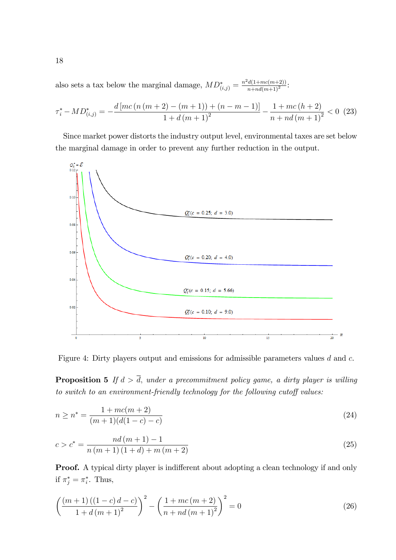also sets a tax below the marginal damage,  $MD^*_{(i,j)} = \frac{n^2d(1+mc(m+2))}{n+nd(m+1)^2}$ :

$$
\tau_i^* - MD_{(i,j)}^* = -\frac{d\left[mc\left(n\left(m+2\right) - \left(m+1\right)\right) + \left(n-m-1\right)\right]}{1 + d\left(m+1\right)^2} - \frac{1 + mc\left(h+2\right)}{n + nd\left(m+1\right)^2} < 0 \tag{23}
$$

Since market power distorts the industry output level, environmental taxes are set below the marginal damage in order to prevent any further reduction in the output.



Figure 4: Dirty players output and emissions for admissible parameters values d and c.

**Proposition 5** If  $d > \overline{d}$ , under a precommitment policy game, a dirty player is willing to switch to an environment-friendly technology for the following cutoff values:

$$
n \ge n^* = \frac{1 + mc(m+2)}{(m+1)(d(1-c) - c)}
$$
\n(24)

$$
c > c^* = \frac{nd(m+1) - 1}{n(m+1)(1+d) + m(m+2)}
$$
\n(25)

**Proof.** A typical dirty player is indifferent about adopting a clean technology if and only if  $\pi_j^* = \pi_i^*$ . Thus,

$$
\left(\frac{(m+1)((1-c)d-c)}{1+d(m+1)^2}\right)^2 - \left(\frac{1+mc(m+2)}{n+nd(m+1)^2}\right)^2 = 0\tag{26}
$$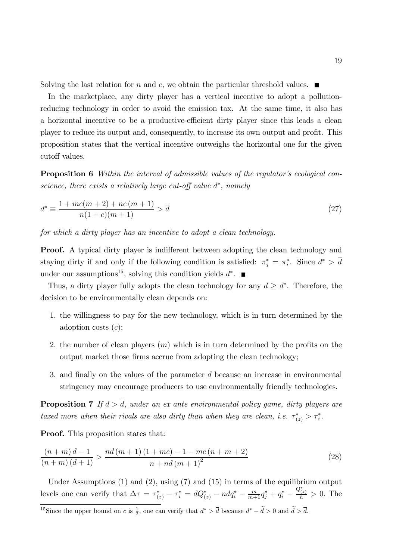Solving the last relation for n and c, we obtain the particular threshold values.  $\blacksquare$ 

In the marketplace, any dirty player has a vertical incentive to adopt a pollutionreducing technology in order to avoid the emission tax. At the same time, it also has a horizontal incentive to be a productive-efficient dirty player since this leads a clean player to reduce its output and, consequently, to increase its own output and profit. This proposition states that the vertical incentive outweighs the horizontal one for the given cutoff values.

**Proposition 6** Within the interval of admissible values of the regulator's ecological conscience, there exists a relatively large cut-off value  $d^*$ , namely

$$
d^* \equiv \frac{1 + mc(m+2) + nc(m+1)}{n(1-c)(m+1)} > \overline{d}
$$
\n(27)

for which a dirty player has an incentive to adopt a clean technology.

**Proof.** A typical dirty player is indifferent between adopting the clean technology and staying dirty if and only if the following condition is satisfied:  $\pi_j^* = \pi_i^*$ . Since  $d^* > d$ under our assumptions<sup>15</sup>, solving this condition yields  $d^*$ .

Thus, a dirty player fully adopts the clean technology for any  $d \geq d^*$ . Therefore, the decision to be environmentally clean depends on:

- 1. the willingness to pay for the new technology, which is in turn determined by the adoption costs  $(c)$ ;
- 2. the number of clean players  $(m)$  which is in turn determined by the profits on the output market those firms accrue from adopting the clean technology;
- 3. and finally on the values of the parameter d because an increase in environmental stringency may encourage producers to use environmentally friendly technologies.

**Proposition 7** If  $d > \overline{d}$ , under an ex ante environmental policy game, dirty players are taxed more when their rivals are also dirty than when they are clean, i.e.  $\tau^*_{(z)} > \tau^*_i$ .

**Proof.** This proposition states that:

$$
\frac{(n+m)\,d-1}{(n+m)\,(d+1)} > \frac{nd\,(m+1)\,(1+mc)-1-mc\,(n+m+2)}{n+nd\,(m+1)^2} \tag{28}
$$

Under Assumptions (1) and (2), using (7) and (15) in terms of the equilibrium output levels one can verify that  $\Delta \tau = \tau_{(z)}^* - \tau_i^* = dQ_{(z)}^* - ndq_i^* - \frac{m}{m+1}q_j^* + q_i^* \frac{Q^*_{(z)}}{h} > 0$ . The

<sup>&</sup>lt;sup>15</sup>Since the upper bound on c is  $\frac{1}{2}$ , one can verify that  $d^* > \overline{d}$  because  $d^* - \overline{d} > 0$  and  $\overline{d} > \overline{d}$ .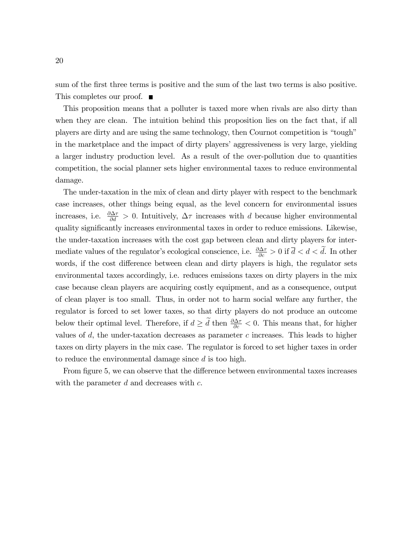sum of the first three terms is positive and the sum of the last two terms is also positive. This completes our proof. ■

This proposition means that a polluter is taxed more when rivals are also dirty than when they are clean. The intuition behind this proposition lies on the fact that, if all players are dirty and are using the same technology, then Cournot competition is "tough" in the marketplace and the impact of dirty players' aggressiveness is very large, yielding a larger industry production level. As a result of the over-pollution due to quantities competition, the social planner sets higher environmental taxes to reduce environmental damage.

The under-taxation in the mix of clean and dirty player with respect to the benchmark case increases, other things being equal, as the level concern for environmental issues increases, i.e.  $\frac{\partial \Delta \tau}{\partial d} > 0$ . Intuitively,  $\Delta \tau$  increases with d because higher environmental quality significantly increases environmental taxes in order to reduce emissions. Likewise, the under-taxation increases with the cost gap between clean and dirty players for intermediate values of the regulator's ecological conscience, i.e.  $\frac{\partial \Delta \tau}{\partial c} > 0$  if  $\overline{d} < d < d$ . In other words, if the cost difference between clean and dirty players is high, the regulator sets environmental taxes accordingly, i.e. reduces emissions taxes on dirty players in the mix case because clean players are acquiring costly equipment, and as a consequence, output of clean player is too small. Thus, in order not to harm social welfare any further, the regulator is forced to set lower taxes, so that dirty players do not produce an outcome below their optimal level. Therefore, if  $d \geq d$  then  $\frac{\partial \Delta \tau}{\partial c} < 0$ . This means that, for higher values of  $d$ , the under-taxation decreases as parameter  $c$  increases. This leads to higher taxes on dirty players in the mix case. The regulator is forced to set higher taxes in order to reduce the environmental damage since  $d$  is too high.

From figure 5, we can observe that the difference between environmental taxes increases with the parameter  $d$  and decreases with  $c$ .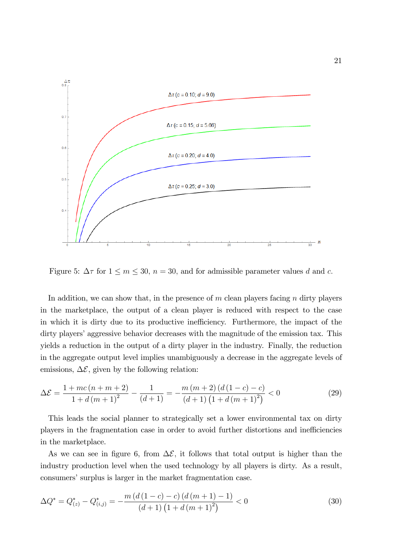

Figure 5:  $\Delta \tau$  for  $1 \le m \le 30$ ,  $n = 30$ , and for admissible parameter values d and c.

In addition, we can show that, in the presence of  $m$  clean players facing  $n$  dirty players in the marketplace, the output of a clean player is reduced with respect to the case in which it is dirty due to its productive inefficiency. Furthermore, the impact of the dirty players' aggressive behavior decreases with the magnitude of the emission tax. This yields a reduction in the output of a dirty player in the industry. Finally, the reduction in the aggregate output level implies unambiguously a decrease in the aggregate levels of emissions,  $\Delta \mathcal{E}$ , given by the following relation:

$$
\Delta \mathcal{E} = \frac{1 + mc(n + m + 2)}{1 + d(m + 1)^2} - \frac{1}{(d + 1)} = -\frac{m(m + 2)(d(1 - c) - c)}{(d + 1)(1 + d(m + 1)^2)} < 0
$$
\n(29)

This leads the social planner to strategically set a lower environmental tax on dirty players in the fragmentation case in order to avoid further distortions and inefficiencies in the marketplace.

As we can see in figure 6, from  $\Delta \mathcal{E}$ , it follows that total output is higher than the industry production level when the used technology by all players is dirty. As a result, consumers' surplus is larger in the market fragmentation case.

$$
\Delta Q^* = Q^*_{(z)} - Q^*_{(i,j)} = -\frac{m\left(d\left(1-c\right) - c\right)\left(d\left(m+1\right) - 1\right)}{\left(d+1\right)\left(1+d\left(m+1\right)^2\right)} < 0\tag{30}
$$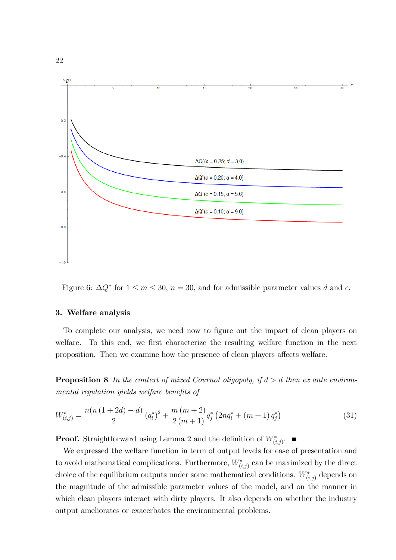

Figure 6:  $\Delta Q^*$  for  $1 \le m \le 30$ ,  $n = 30$ , and for admissible parameter values d and c.

#### 3. Welfare analysis

To complete our analysis, we need now to figure out the impact of clean players on welfare. To this end, we first characterize the resulting welfare function in the next proposition. Then we examine how the presence of clean players affects welfare.

**Proposition 8** In the context of mixed Cournot oligopoly, if  $d > \overline{d}$  then ex ante environmental regulation yields welfare benefits of

$$
W_{(i,j)}^* = \frac{n(n(1+2d)-d)}{2} (q_i^*)^2 + \frac{m(m+2)}{2(m+1)} q_j^* (2nq_i^* + (m+1) q_j^*)
$$
\n(31)

**Proof.** Straightforward using Lemma 2 and the definition of  $W^*_{(i,j)}$ .

We expressed the welfare function in term of output levels for ease of presentation and to avoid mathematical complications. Furthermore,  $W^*_{(i,j)}$  can be maximized by the direct choice of the equilibrium outputs under some mathematical conditions.  $W^*_{(i,j)}$  depends on the magnitude of the admissible parameter values of the model, and on the manner in which clean players interact with dirty players. It also depends on whether the industry output ameliorates or exacerbates the environmental problems.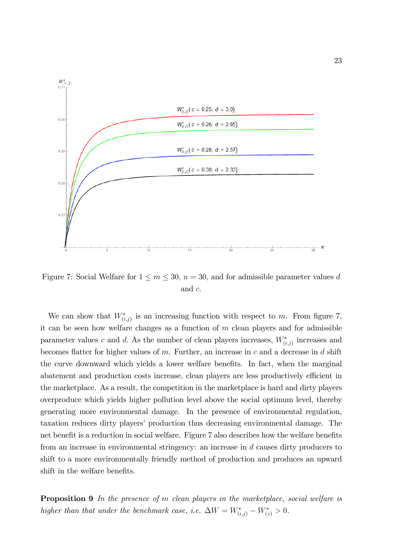

Figure 7: Social Welfare for  $1 \leq m \leq 30$ ,  $n = 30$ , and for admissible parameter values d and c:

We can show that  $W^*_{(i,j)}$  is an increasing function with respect to m. From figure 7, it can be seen how welfare changes as a function of  $m$  clean players and for admissible parameter values c and d. As the number of clean players increases,  $W^*_{(i,j)}$  increases and becomes flatter for higher values of  $m$ . Further, an increase in  $c$  and a decrease in  $d$  shift the curve downward which yields a lower welfare benefits. In fact, when the marginal abatement and production costs increase, clean players are less productively efficient in the marketplace. As a result, the competition in the marketplace is hard and dirty players overproduce which yields higher pollution level above the social optimum level, thereby generating more environmental damage. In the presence of environmental regulation, taxation reduces dirty players' production thus decreasing environmental damage. The net benefit is a reduction in social welfare. Figure 7 also describes how the welfare benefits from an increase in environmental stringency: an increase in d causes dirty producers to shift to a more environmentally friendly method of production and produces an upward shift in the welfare benefits.

Proposition 9 In the presence of m clean players in the marketplace, social welfare is higher than that under the benchmark case, i.e.  $\Delta W = W^*_{(i,j)} - W^*_{(z)} > 0$ .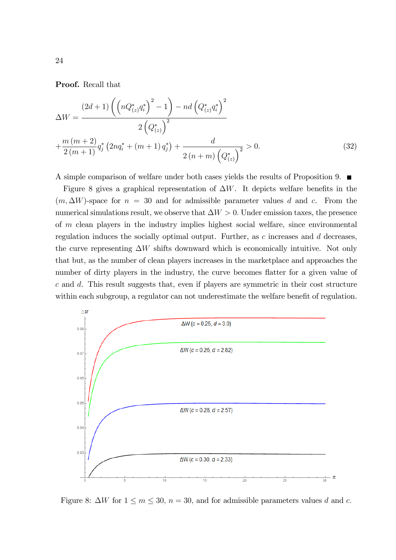Proof. Recall that

$$
\Delta W = \frac{(2d+1)\left(\left(nQ^*_{(z)}q_i^*\right)^2 - 1\right) - nd\left(Q^*_{(z)}q_i^*\right)^2}{2\left(Q^*_{(z)}\right)^2} + \frac{m(m+2)}{2(m+1)}q_j^*\left(2nq_i^* + (m+1)q_j^*\right) + \frac{d}{2(n+m)\left(Q^*_{(z)}\right)^2} > 0. \tag{32}
$$

A simple comparison of welfare under both cases yields the results of Proposition 9.

Figure 8 gives a graphical representation of  $\Delta W$ . It depicts welfare benefits in the  $(m, \Delta W)$ -space for  $n = 30$  and for admissible parameter values d and c. From the numerical simulations result, we observe that  $\Delta W > 0$ . Under emission taxes, the presence of m clean players in the industry implies highest social welfare, since environmental regulation induces the socially optimal output. Further, as  $c$  increases and  $d$  decreases, the curve representing  $\Delta W$  shifts downward which is economically intuitive. Not only that but, as the number of clean players increases in the marketplace and approaches the number of dirty players in the industry, the curve becomes flatter for a given value of c and d. This result suggests that, even if players are symmetric in their cost structure within each subgroup, a regulator can not underestimate the welfare benefit of regulation.



Figure 8:  $\Delta W$  for  $1 \le m \le 30$ ,  $n = 30$ , and for admissible parameters values d and c.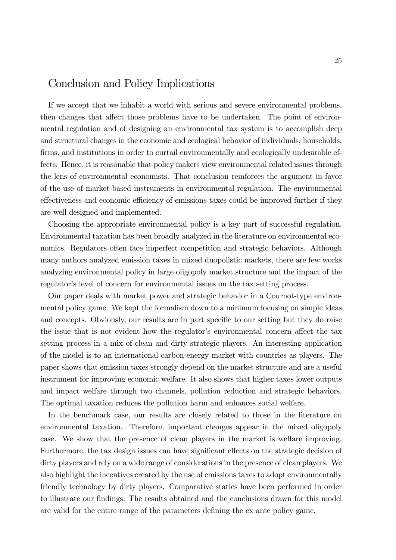# Conclusion and Policy Implications

If we accept that we inhabit a world with serious and severe environmental problems, then changes that affect those problems have to be undertaken. The point of environmental regulation and of designing an environmental tax system is to accomplish deep and structural changes in the economic and ecological behavior of individuals, households, firms, and institutions in order to curtail environmentally and ecologically undesirable effects. Hence, it is reasonable that policy makers view environmental related issues through the lens of environmental economists. That conclusion reinforces the argument in favor of the use of market-based instruments in environmental regulation. The environmental effectiveness and economic efficiency of emissions taxes could be improved further if they are well designed and implemented.

Choosing the appropriate environmental policy is a key part of successful regulation. Environmental taxation has been broadly analyzed in the literature on environmental economics. Regulators often face imperfect competition and strategic behaviors. Although many authors analyzed emission taxes in mixed duopolistic markets, there are few works analyzing environmental policy in large oligopoly market structure and the impact of the regulator's level of concern for environmental issues on the tax setting process.

Our paper deals with market power and strategic behavior in a Cournot-type environmental policy game. We kept the formalism down to a minimum focusing on simple ideas and concepts. Obviously, our results are in part specific to our setting but they do raise the issue that is not evident how the regulator's environmental concern affect the tax setting process in a mix of clean and dirty strategic players. An interesting application of the model is to an international carbon-energy market with countries as players. The paper shows that emission taxes strongly depend on the market structure and are a useful instrument for improving economic welfare. It also shows that higher taxes lower outputs and impact welfare through two channels, pollution reduction and strategic behaviors. The optimal taxation reduces the pollution harm and enhances social welfare.

In the benchmark case, our results are closely related to those in the literature on environmental taxation. Therefore, important changes appear in the mixed oligopoly case. We show that the presence of clean players in the market is welfare improving. Furthermore, the tax design issues can have significant effects on the strategic decision of dirty players and rely on a wide range of considerations in the presence of clean players. We also highlight the incentives created by the use of emissions taxes to adopt environmentally friendly technology by dirty players. Comparative statics have been performed in order to illustrate our findings. The results obtained and the conclusions drawn for this model are valid for the entire range of the parameters defining the ex ante policy game.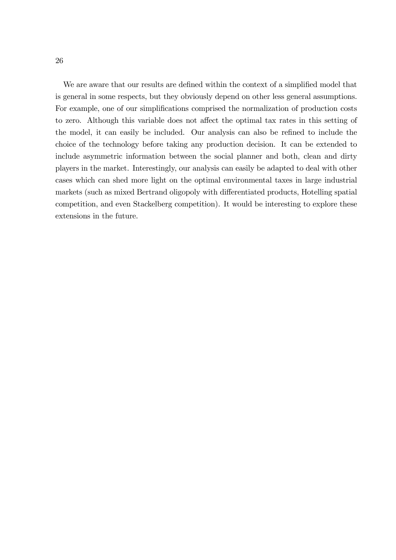We are aware that our results are defined within the context of a simplified model that is general in some respects, but they obviously depend on other less general assumptions. For example, one of our simplifications comprised the normalization of production costs to zero. Although this variable does not affect the optimal tax rates in this setting of the model, it can easily be included. Our analysis can also be refined to include the choice of the technology before taking any production decision. It can be extended to include asymmetric information between the social planner and both, clean and dirty players in the market. Interestingly, our analysis can easily be adapted to deal with other cases which can shed more light on the optimal environmental taxes in large industrial markets (such as mixed Bertrand oligopoly with differentiated products, Hotelling spatial competition, and even Stackelberg competition). It would be interesting to explore these extensions in the future.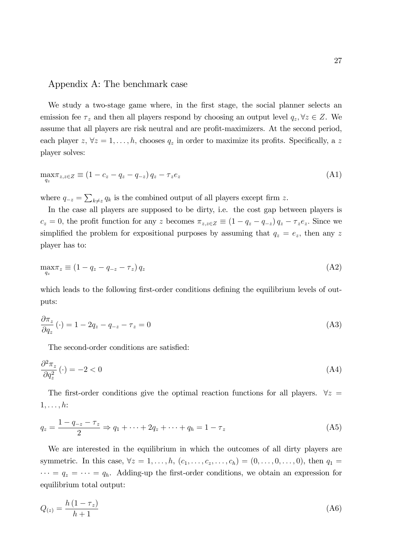### Appendix A: The benchmark case

We study a two-stage game where, in the first stage, the social planner selects an emission fee  $\tau_z$  and then all players respond by choosing an output level  $q_z, \forall z \in Z$ . We assume that all players are risk neutral and are profit-maximizers. At the second period, each player  $z, \forall z = 1, \ldots, h$ , chooses  $q_z$  in order to maximize its profits. Specifically, a z player solves:

$$
\max_{q_z} \tau_{z,z \in Z} \equiv (1 - c_z - q_z - q_{-z}) q_z - \tau_z e_z \tag{A1}
$$

where  $q_{-z} = \sum_{k \neq z} q_k$  is the combined output of all players except firm z.

In the case all players are supposed to be dirty, i.e. the cost gap between players is  $c_z = 0$ , the profit function for any z becomes  $\pi_{z,z\in Z} \equiv (1 - q_z - q_{-z}) q_z - \tau_z e_z$ . Since we simplified the problem for expositional purposes by assuming that  $q_z = e_z$ , then any z player has to:

$$
\max_{q_z} \pi_z \equiv (1 - q_z - q_{-z} - \tau_z) q_z \tag{A2}
$$

which leads to the following first-order conditions defining the equilibrium levels of outputs:

$$
\frac{\partial \pi_z}{\partial q_z}(\cdot) = 1 - 2q_z - q_{-z} - \tau_z = 0 \tag{A3}
$$

The second-order conditions are satisfied:

$$
\frac{\partial^2 \pi_z}{\partial q_z^2} (\cdot) = -2 < 0 \tag{A4}
$$

The first-order conditions give the optimal reaction functions for all players.  $\forall z =$  $1, \ldots, h$ :

$$
q_z = \frac{1 - q_{-z} - \tau_z}{2} \Rightarrow q_1 + \dots + 2q_z + \dots + q_h = 1 - \tau_z
$$
 (A5)

We are interested in the equilibrium in which the outcomes of all dirty players are symmetric. In this case,  $\forall z = 1, \ldots, h, (c_1, \ldots, c_z, \ldots, c_h) = (0, \ldots, 0, \ldots, 0),$  then  $q_1 =$  $\cdots = q_z = \cdots = q_h$ . Adding-up the first-order conditions, we obtain an expression for equilibrium total output:

$$
Q_{(z)} = \frac{h(1 - \tau_z)}{h + 1}
$$
 (A6)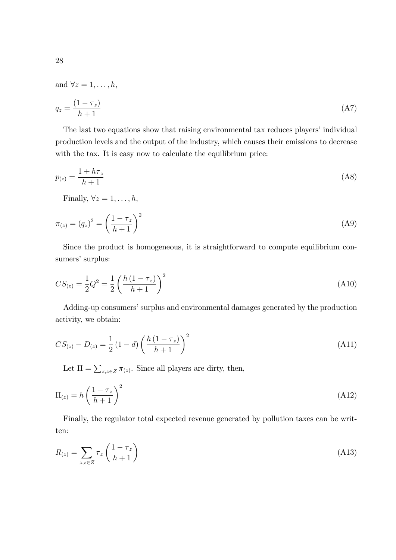and  $\forall z = 1, \ldots, h$ ,

$$
q_z = \frac{(1 - \tau_z)}{h + 1} \tag{A7}
$$

The last two equations show that raising environmental tax reduces players' individual production levels and the output of the industry, which causes their emissions to decrease with the tax. It is easy now to calculate the equilibrium price:

$$
p_{(z)} = \frac{1 + h\tau_z}{h + 1} \tag{A8}
$$

Finally,  $\forall z = 1, \ldots, h$ ,

$$
\pi_{(z)} = (q_z)^2 = \left(\frac{1 - \tau_z}{h + 1}\right)^2\tag{A9}
$$

Since the product is homogeneous, it is straightforward to compute equilibrium consumers' surplus:

$$
CS_{(z)} = \frac{1}{2}Q^2 = \frac{1}{2}\left(\frac{h(1-\tau_z)}{h+1}\right)^2
$$
\n(A10)

Adding-up consumers' surplus and environmental damages generated by the production activity, we obtain:

$$
CS_{(z)} - D_{(z)} = \frac{1}{2} (1 - d) \left( \frac{h (1 - \tau_z)}{h + 1} \right)^2
$$
\n(A11)

Let  $\Pi = \sum_{z,z \in Z} \pi_{(z)}$ . Since all players are dirty, then,

$$
\Pi_{(z)} = h \left(\frac{1 - \tau_z}{h + 1}\right)^2 \tag{A12}
$$

Finally, the regulator total expected revenue generated by pollution taxes can be written:

$$
R_{(z)} = \sum_{z,z \in Z} \tau_z \left(\frac{1 - \tau_z}{h + 1}\right) \tag{A13}
$$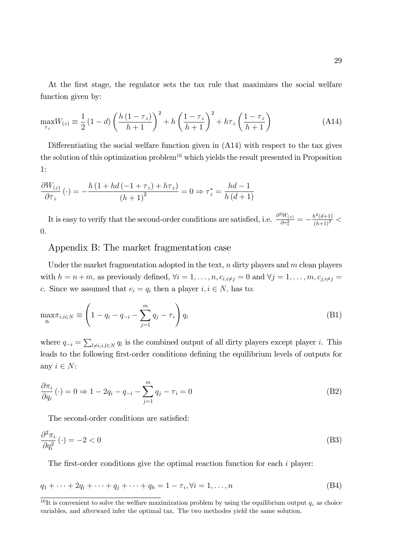At the first stage, the regulator sets the tax rule that maximizes the social welfare function given by:

$$
\max_{\tau_z} W_{(z)} \equiv \frac{1}{2} \left( 1 - d \right) \left( \frac{h \left( 1 - \tau_z \right)}{h + 1} \right)^2 + h \left( \frac{1 - \tau_z}{h + 1} \right)^2 + h \tau_z \left( \frac{1 - \tau_z}{h + 1} \right) \tag{A14}
$$

Differentiating the social welfare function given in  $(A14)$  with respect to the tax gives the solution of this optimization problem<sup>16</sup> which yields the result presented in Proposition 1:

$$
\frac{\partial W_{(z)}}{\partial \tau_z}(\cdot) = -\frac{h\left(1 + hd\left(-1 + \tau_z\right) + h\tau_z\right)}{\left(h+1\right)^2} = 0 \Rightarrow \tau_z^* = \frac{hd - 1}{h\left(d+1\right)}
$$

It is easy to verify that the second-order conditions are satisfied, i.e.  $\frac{\partial^2 W_{(z)}}{\partial \tau^2}$  $\frac{d^2W_{(z)}}{\partial\tau_z^2}=-\frac{h^2(d{+}1)}{\left(h{+}1\right)^2}<$ 0.

#### Appendix B: The market fragmentation case

Under the market fragmentation adopted in the text,  $n$  dirty players and  $m$  clean players with  $h = n + m$ , as previously defined,  $\forall i = 1, \ldots, n, c_{i,i \neq j} = 0$  and  $\forall j = 1, \ldots, m, c_{j,i \neq j} = 1$ c. Since we assumed that  $e_i = q_i$  then a player  $i, i \in N$ , has to:

$$
\max_{q_i} \pi_{i,i \in N} \equiv \left( 1 - q_i - q_{-i} - \sum_{j=1}^m q_j - \tau_i \right) q_i
$$
 (B1)

where  $q_{-i} = \sum_{l \neq i, i, l \in N} q_l$  is the combined output of all dirty players except player i. This leads to the following first-order conditions defining the equilibrium levels of outputs for any  $i \in N$ :

$$
\frac{\partial \pi_i}{\partial q_i}(\cdot) = 0 \Rightarrow 1 - 2q_i - q_{-i} - \sum_{j=1}^m q_j - \tau_i = 0
$$
\n(B2)

The second-order conditions are satisfied:

$$
\frac{\partial^2 \pi_i}{\partial q_i^2}(\cdot) = -2 < 0 \tag{B3}
$$

The first-order conditions give the optimal reaction function for each  $i$  player:

$$
q_1 + \dots + 2q_i + \dots + q_j + \dots + q_h = 1 - \tau_i, \forall i = 1, \dots, n
$$
 (B4)

<sup>&</sup>lt;sup>16</sup>It is convenient to solve the welfare maximization problem by using the equilibrium output  $q_z$  as choice variables, and afterward infer the optimal tax. The two methodes yield the same solution.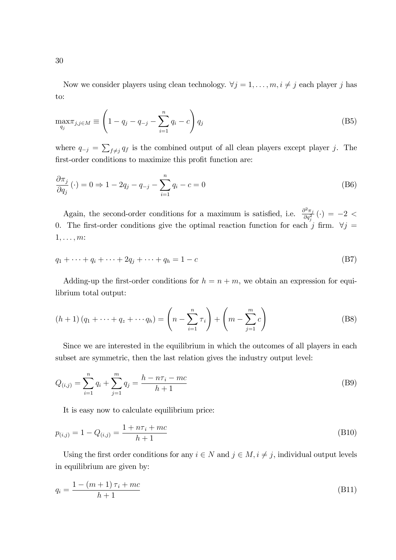Now we consider players using clean technology.  $\forall j = 1, ..., m, i \neq j$  each player j has to:

$$
\max_{q_j} \pi_{j,j \in M} \equiv \left(1 - q_j - q_{-j} - \sum_{i=1}^n q_i - c\right) q_j
$$
 (B5)

where  $q_{-j} = \sum_{f \neq j} q_f$  is the combined output of all clean players except player j. The first-order conditions to maximize this profit function are:

$$
\frac{\partial \pi_j}{\partial q_j}(\cdot) = 0 \Rightarrow 1 - 2q_j - q_{-j} - \sum_{i=1}^n q_i - c = 0
$$
\n(B6)

Again, the second-order conditions for a maximum is satisfied, i.e.  $\frac{\partial^2 \pi_j}{\partial \sigma^2}$  $\frac{\partial^2 \pi_j}{\partial q_j^2}\left(\cdot\right)\,=\,-2\,<\,$ 0. The first-order conditions give the optimal reaction function for each j firm.  $\forall j =$  $1, \ldots, m$ :

$$
q_1 + \dots + q_i + \dots + 2q_j + \dots + q_h = 1 - c \tag{B7}
$$

Adding-up the first-order conditions for  $h = n + m$ , we obtain an expression for equilibrium total output:

$$
(h+1)(q_1 + \dots + q_z + \dots + q_h) = \left(n - \sum_{i=1}^n \tau_i\right) + \left(m - \sum_{j=1}^m c\right)
$$
 (B8)

Since we are interested in the equilibrium in which the outcomes of all players in each subset are symmetric, then the last relation gives the industry output level:

$$
Q_{(i,j)} = \sum_{i=1}^{n} q_i + \sum_{j=1}^{m} q_j = \frac{h - n\tau_i - mc}{h + 1}
$$
 (B9)

It is easy now to calculate equilibrium price:

$$
p_{(i,j)} = 1 - Q_{(i,j)} = \frac{1 + n\tau_i + mc}{h + 1}
$$
\n(B10)

Using the first order conditions for any  $i \in N$  and  $j \in M$ ,  $i \neq j$ , individual output levels in equilibrium are given by:

$$
q_i = \frac{1 - (m+1)\tau_i + mc}{h+1}
$$
 (B11)

30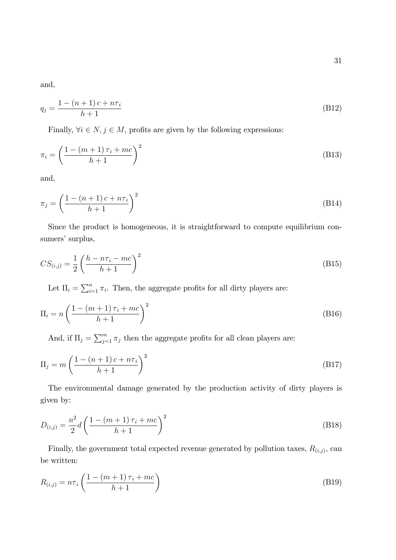and,

$$
q_j = \frac{1 - (n+1)c + n\tau_i}{h+1}
$$
 (B12)

Finally,  $\forall i \in N, j \in M$ , profits are given by the following expressions:

$$
\pi_i = \left(\frac{1 - (m+1)\tau_i + mc}{h+1}\right)^2\tag{B13}
$$

and,

$$
\pi_j = \left(\frac{1 - (n+1)c + n\tau_i}{h+1}\right)^2\tag{B14}
$$

Since the product is homogeneous, it is straightforward to compute equilibrium consumers' surplus,

$$
CS_{(i,j)} = \frac{1}{2} \left( \frac{h - n\tau_i - mc}{h + 1} \right)^2
$$
 (B15)

Let  $\Pi_i = \sum_{i=1}^n \pi_i$ . Then, the aggregate profits for all dirty players are:

$$
\Pi_i = n \left( \frac{1 - (m+1)\tau_i + mc}{h+1} \right)^2 \tag{B16}
$$

And, if  $\Pi_j = \sum_{j=1}^m \pi_j$  then the aggregate profits for all clean players are:

$$
\Pi_j = m \left( \frac{1 - (n+1)c + n\tau_i}{h+1} \right)^2 \tag{B17}
$$

The environmental damage generated by the production activity of dirty players is given by:

$$
D_{(i,j)} = \frac{n^2}{2} d \left( \frac{1 - (m+1)\tau_i + mc}{h+1} \right)^2
$$
 (B18)

Finally, the government total expected revenue generated by pollution taxes,  $R_{(i,j)}$ , can be written:

$$
R_{(i,j)} = n\tau_i \left(\frac{1 - (m+1)\tau_i + mc}{h+1}\right)
$$
\n(B19)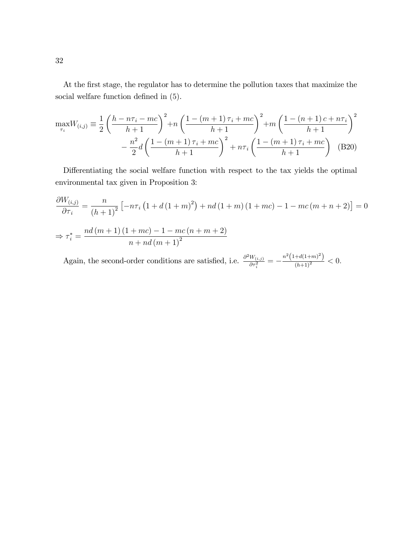At the first stage, the regulator has to determine the pollution taxes that maximize the social welfare function defined in  $(5)$ .

$$
\max_{\tau_i} W_{(i,j)} \equiv \frac{1}{2} \left( \frac{h - n\tau_i - mc}{h + 1} \right)^2 + n \left( \frac{1 - (m+1)\tau_i + mc}{h + 1} \right)^2 + m \left( \frac{1 - (n+1)c + n\tau_i}{h + 1} \right)^2
$$

$$
- \frac{n^2}{2} d \left( \frac{1 - (m+1)\tau_i + mc}{h + 1} \right)^2 + n\tau_i \left( \frac{1 - (m+1)\tau_i + mc}{h + 1} \right) \quad (B20)
$$

Differentiating the social welfare function with respect to the tax yields the optimal environmental tax given in Proposition 3:

$$
\frac{\partial W_{(i,j)}}{\partial \tau_i} = \frac{n}{(h+1)^2} \left[ -n\tau_i \left( 1 + d \left( 1 + m \right)^2 \right) + nd \left( 1 + m \right) \left( 1 + mc \right) - 1 - mc \left( m + n + 2 \right) \right] = 0
$$
  

$$
\Rightarrow \tau_i^* = \frac{nd \left( m + 1 \right) \left( 1 + mc \right) - 1 - mc \left( n + m + 2 \right)}{n + nd \left( m + 1 \right)^2}
$$

Again, the second-order conditions are satisfied, i.e.  $\frac{\partial^2 W_{(i,j)}}{\partial \tau^2}$  $\frac{W_{(i,j)}}{\partial \tau_i^2} = -\frac{n^2 \left(1+d(1+m)^2\right)}{\left(h+1\right)^2} < 0.$ 

32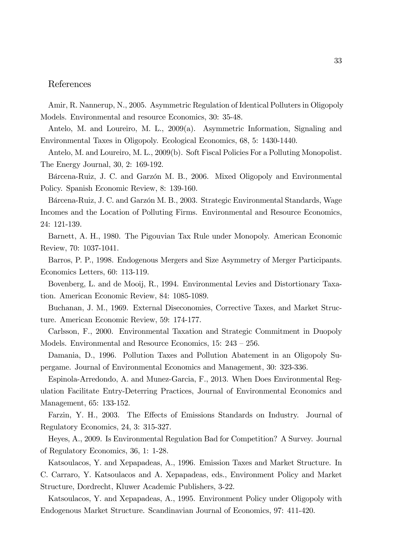## References

Amir, R. Nannerup, N., 2005. Asymmetric Regulation of Identical Polluters in Oligopoly Models. Environmental and resource Economics, 30: 35-48.

Antelo, M. and Loureiro, M. L., 2009(a). Asymmetric Information, Signaling and Environmental Taxes in Oligopoly. Ecological Economics, 68, 5: 1430-1440.

Antelo, M. and Loureiro, M. L., 2009(b). Soft Fiscal Policies For a Polluting Monopolist. The Energy Journal, 30, 2: 169-192.

Bárcena-Ruiz, J. C. and Garzón M. B., 2006. Mixed Oligopoly and Environmental Policy. Spanish Economic Review, 8: 139-160.

Bárcena-Ruiz, J. C. and Garzón M. B., 2003. Strategic Environmental Standards, Wage Incomes and the Location of Polluting Firms. Environmental and Resource Economics, 24: 121-139.

Barnett, A. H., 1980. The Pigouvian Tax Rule under Monopoly. American Economic Review, 70: 1037-1041.

Barros, P. P., 1998. Endogenous Mergers and Size Asymmetry of Merger Participants. Economics Letters, 60: 113-119.

Bovenberg, L. and de Mooij, R., 1994. Environmental Levies and Distortionary Taxation. American Economic Review, 84: 1085-1089.

Buchanan, J. M., 1969. External Diseconomies, Corrective Taxes, and Market Structure. American Economic Review, 59: 174-177.

Carlsson, F., 2000. Environmental Taxation and Strategic Commitment in Duopoly Models. Environmental and Resource Economics,  $15: 243 - 256$ .

Damania, D., 1996. Pollution Taxes and Pollution Abatement in an Oligopoly Supergame. Journal of Environmental Economics and Management, 30: 323-336.

Espinola-Arredondo, A. and Munez-Garcia, F., 2013. When Does Environmental Regulation Facilitate Entry-Deterring Practices, Journal of Environmental Economics and Management, 65: 133-152.

Farzin, Y. H., 2003. The Effects of Emissions Standards on Industry. Journal of Regulatory Economics, 24, 3: 315-327.

Heyes, A., 2009. Is Environmental Regulation Bad for Competition? A Survey. Journal of Regulatory Economics, 36, 1: 1-28.

Katsoulacos, Y. and Xepapadeas, A., 1996. Emission Taxes and Market Structure. In C. Carraro, Y. Katsoulacos and A. Xepapadeas, eds., Environment Policy and Market Structure, Dordrecht, Kluwer Academic Publishers, 3-22.

Katsoulacos, Y. and Xepapadeas, A., 1995. Environment Policy under Oligopoly with Endogenous Market Structure. Scandinavian Journal of Economics, 97: 411-420.